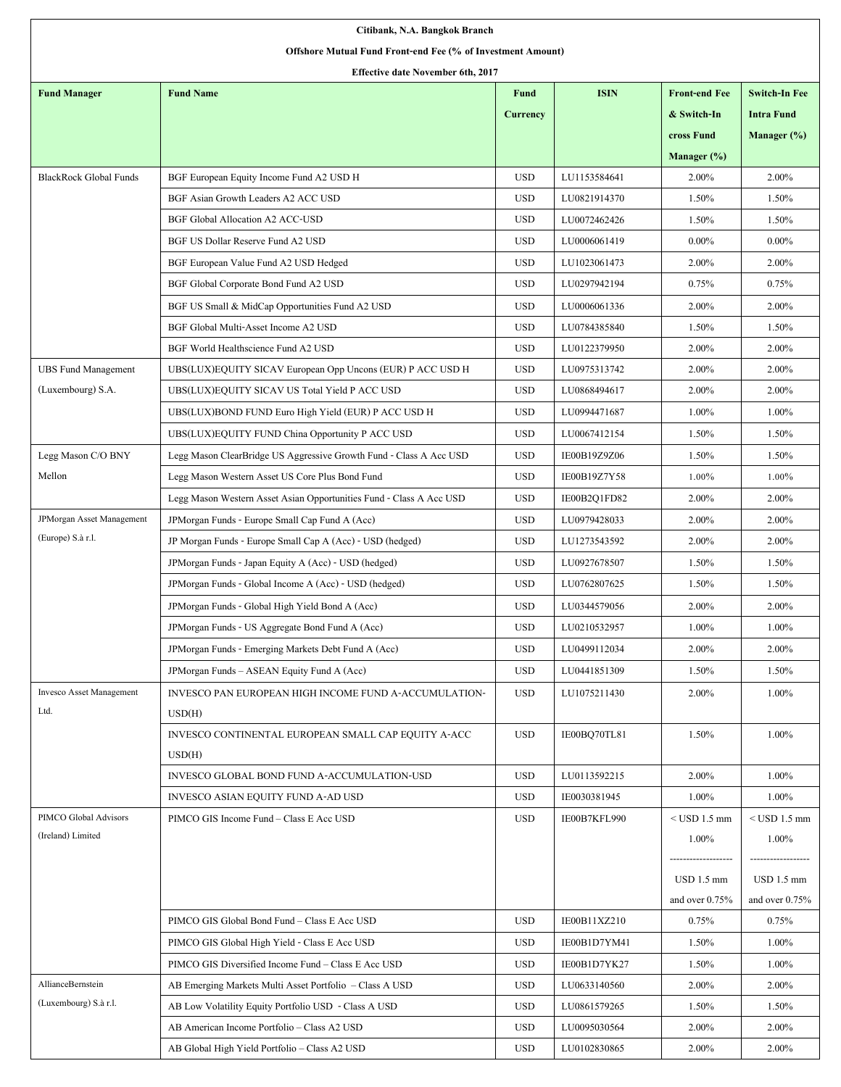| Citibank, N.A. Bangkok Branch                               |                                                                     |                 |              |                      |                      |  |  |  |  |
|-------------------------------------------------------------|---------------------------------------------------------------------|-----------------|--------------|----------------------|----------------------|--|--|--|--|
| Offshore Mutual Fund Front-end Fee (% of Investment Amount) |                                                                     |                 |              |                      |                      |  |  |  |  |
| <b>Effective date November 6th, 2017</b>                    |                                                                     |                 |              |                      |                      |  |  |  |  |
| <b>Fund Manager</b>                                         | <b>Fund Name</b>                                                    | <b>Fund</b>     | <b>ISIN</b>  | <b>Front-end Fee</b> | <b>Switch-In Fee</b> |  |  |  |  |
|                                                             |                                                                     | <b>Currency</b> |              | & Switch-In          | <b>Intra Fund</b>    |  |  |  |  |
|                                                             |                                                                     |                 |              | cross Fund           | Manager $(\% )$      |  |  |  |  |
|                                                             |                                                                     |                 |              | Manager (%)          |                      |  |  |  |  |
| <b>BlackRock Global Funds</b>                               | BGF European Equity Income Fund A2 USD H                            | <b>USD</b>      | LU1153584641 | 2.00%                | 2.00%                |  |  |  |  |
|                                                             | BGF Asian Growth Leaders A2 ACC USD                                 | <b>USD</b>      | LU0821914370 | 1.50%                | 1.50%                |  |  |  |  |
|                                                             | BGF Global Allocation A2 ACC-USD                                    | <b>USD</b>      | LU0072462426 | 1.50%                | 1.50%                |  |  |  |  |
|                                                             | BGF US Dollar Reserve Fund A2 USD                                   | <b>USD</b>      | LU0006061419 | $0.00\%$             | $0.00\%$             |  |  |  |  |
|                                                             | BGF European Value Fund A2 USD Hedged                               | <b>USD</b>      | LU1023061473 | 2.00%                | 2.00%                |  |  |  |  |
|                                                             | BGF Global Corporate Bond Fund A2 USD                               | <b>USD</b>      | LU0297942194 | 0.75%                | 0.75%                |  |  |  |  |
|                                                             | BGF US Small & MidCap Opportunities Fund A2 USD                     | <b>USD</b>      | LU0006061336 | 2.00%                | 2.00%                |  |  |  |  |
|                                                             | BGF Global Multi-Asset Income A2 USD                                | <b>USD</b>      | LU0784385840 | 1.50%                | 1.50%                |  |  |  |  |
|                                                             | BGF World Healthscience Fund A2 USD                                 | <b>USD</b>      | LU0122379950 | 2.00%                | 2.00%                |  |  |  |  |
| <b>UBS Fund Management</b>                                  | UBS(LUX)EQUITY SICAV European Opp Uncons (EUR) P ACC USD H          | <b>USD</b>      | LU0975313742 | 2.00%                | 2.00%                |  |  |  |  |
| (Luxembourg) S.A.                                           | UBS(LUX)EQUITY SICAV US Total Yield P ACC USD                       | <b>USD</b>      | LU0868494617 | 2.00%                | 2.00%                |  |  |  |  |
|                                                             | UBS(LUX)BOND FUND Euro High Yield (EUR) P ACC USD H                 | <b>USD</b>      | LU0994471687 | 1.00%                | 1.00%                |  |  |  |  |
|                                                             | UBS(LUX)EQUITY FUND China Opportunity P ACC USD                     | <b>USD</b>      | LU0067412154 | 1.50%                | 1.50%                |  |  |  |  |
| Legg Mason C/O BNY                                          | Legg Mason ClearBridge US Aggressive Growth Fund - Class A Acc USD  | <b>USD</b>      | IE00B19Z9Z06 | 1.50%                | 1.50%                |  |  |  |  |
| Mellon                                                      | Legg Mason Western Asset US Core Plus Bond Fund                     | <b>USD</b>      | IE00B19Z7Y58 | 1.00%                | $1.00\%$             |  |  |  |  |
|                                                             | Legg Mason Western Asset Asian Opportunities Fund - Class A Acc USD | <b>USD</b>      | IE00B2Q1FD82 | 2.00%                | $2.00\%$             |  |  |  |  |
| <b>JPMorgan Asset Management</b>                            | JPMorgan Funds - Europe Small Cap Fund A (Acc)                      | <b>USD</b>      | LU0979428033 | 2.00%                | 2.00%                |  |  |  |  |
| (Europe) S.à r.l.                                           | JP Morgan Funds - Europe Small Cap A (Acc) - USD (hedged)           | <b>USD</b>      | LU1273543592 | 2.00%                | 2.00%                |  |  |  |  |
|                                                             | JPMorgan Funds - Japan Equity A (Acc) - USD (hedged)                | <b>USD</b>      | LU0927678507 | 1.50%                | 1.50%                |  |  |  |  |
|                                                             | JPMorgan Funds - Global Income A (Acc) - USD (hedged)               | <b>USD</b>      | LU0762807625 | 1.50%                | 1.50%                |  |  |  |  |
|                                                             | JPMorgan Funds - Global High Yield Bond A (Acc)                     | <b>USD</b>      | LU0344579056 | 2.00%                | 2.00%                |  |  |  |  |
|                                                             | JPMorgan Funds - US Aggregate Bond Fund A (Acc)                     | <b>USD</b>      | LU0210532957 | 1.00%                | 1.00%                |  |  |  |  |
|                                                             | JPMorgan Funds - Emerging Markets Debt Fund A (Acc)                 | <b>USD</b>      | LU0499112034 | 2.00%                | 2.00%                |  |  |  |  |
|                                                             | JPM organ Funds – ASEAN Equity Fund A (Acc)                         | <b>USD</b>      | LU0441851309 | 1.50%                | 1.50%                |  |  |  |  |
| <b>Invesco Asset Management</b>                             | INVESCO PAN EUROPEAN HIGH INCOME FUND A-ACCUMULATION-               | <b>USD</b>      | LU1075211430 | 2.00%                | 1.00%                |  |  |  |  |
| Ltd.                                                        | USD(H)                                                              |                 |              |                      |                      |  |  |  |  |
|                                                             | INVESCO CONTINENTAL EUROPEAN SMALL CAP EQUITY A-ACC                 | <b>USD</b>      | IE00BO70TL81 | 1.50%                | 1.00%                |  |  |  |  |
|                                                             | USD(H)                                                              |                 |              |                      |                      |  |  |  |  |
|                                                             | INVESCO GLOBAL BOND FUND A-ACCUMULATION-USD                         | <b>USD</b>      | LU0113592215 | 2.00%                | 1.00%                |  |  |  |  |
|                                                             | INVESCO ASIAN EQUITY FUND A-AD USD                                  | <b>USD</b>      | IE0030381945 | 1.00%                | 1.00%                |  |  |  |  |
| PIMCO Global Advisors                                       | PIMCO GIS Income Fund - Class E Acc USD                             | <b>USD</b>      | IE00B7KFL990 | $<$ USD 1.5 mm       | $<$ USD 1.5 mm       |  |  |  |  |
| (Ireland) Limited                                           |                                                                     |                 |              | 1.00%                | 1.00%                |  |  |  |  |
|                                                             |                                                                     |                 |              | -------------------  | ------------------   |  |  |  |  |
|                                                             |                                                                     |                 |              | USD 1.5 mm           | USD 1.5 mm           |  |  |  |  |
|                                                             |                                                                     |                 |              | and over $0.75%$     | and over $0.75%$     |  |  |  |  |
|                                                             | PIMCO GIS Global Bond Fund - Class E Acc USD                        | <b>USD</b>      | IE00B11XZ210 | 0.75%                | 0.75%                |  |  |  |  |
|                                                             | PIMCO GIS Global High Yield - Class E Acc USD                       | <b>USD</b>      | IE00B1D7YM41 | 1.50%                | 1.00%                |  |  |  |  |
|                                                             | PIMCO GIS Diversified Income Fund – Class E Acc USD                 | <b>USD</b>      | IE00B1D7YK27 | 1.50%                | 1.00%                |  |  |  |  |
| AllianceBernstein                                           | AB Emerging Markets Multi Asset Portfolio – Class A USD             | <b>USD</b>      | LU0633140560 | 2.00%                | 2.00%                |  |  |  |  |
| (Luxembourg) S.à r.l.                                       | AB Low Volatility Equity Portfolio USD - Class A USD                | <b>USD</b>      | LU0861579265 | 1.50%                | 1.50%                |  |  |  |  |
|                                                             | AB American Income Portfolio - Class A2 USD                         | <b>USD</b>      | LU0095030564 | 2.00%                | 2.00%                |  |  |  |  |
|                                                             | AB Global High Yield Portfolio - Class A2 USD                       | <b>USD</b>      | LU0102830865 | 2.00%                | 2.00%                |  |  |  |  |